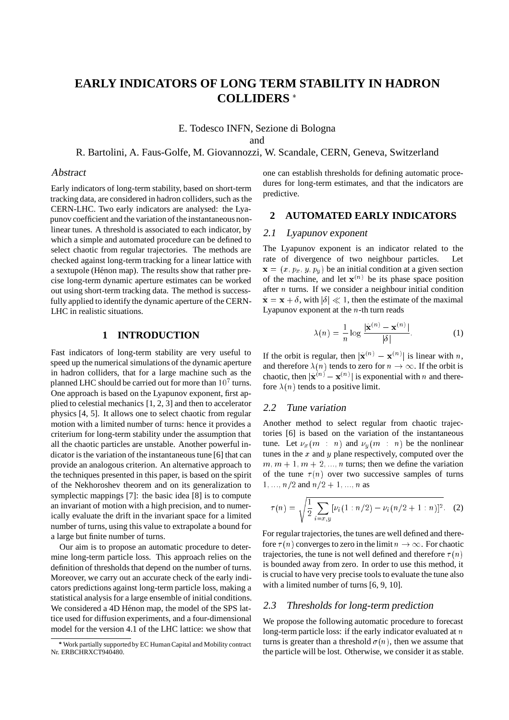# **EARLY INDICATORS OF LONG TERM STABILITY IN HADRON COLLIDERS**

E. Todesco INFN, Sezione di Bologna and

R. Bartolini, A. Faus-Golfe, M. Giovannozzi, W. Scandale, CERN, Geneva, Switzerland

#### Abstract

Early indicators of long-term stability, based on short-term tracking data, are considered in hadron colliders, such as the CERN-LHC. Two early indicators are analysed: the Lyapunov coefficient and the variation of the instantaneous nonlinear tunes. A threshold is associated to each indicator, by which a simple and automated procedure can be defined to select chaotic from regular trajectories. The methods are checked against long-term tracking for a linear lattice with a sextupole (Hénon map). The results show that rather precise long-term dynamic aperture estimates can be worked out using short-term tracking data. The method is successfully applied to identify the dynamic aperture of the CERN-LHC in realistic situations.

## **1 INTRODUCTION**

Fast indicators of long-term stability are very useful to speed up the numerical simulations of the dynamic aperture in hadron colliders, that for a large machine such as the planned LHC should be carried out for more than  $10<sup>7</sup>$  turns. One approach is based on the Lyapunov exponent, first applied to celestial mechanics [1, 2, 3] and then to accelerator physics [4, 5]. It allows one to select chaotic from regular motion with a limited number of turns: hence it provides a criterium for long-term stability under the assumption that all the chaotic particles are unstable. Another powerful indicator is the variation of the instantaneous tune [6] that can provide an analogous criterion. An alternative approach to the techniques presented in this paper, is based on the spirit of the Nekhoroshev theorem and on its generalization to symplectic mappings [7]: the basic idea [8] is to compute an invariant of motion with a high precision, and to numerically evaluate the drift in the invariant space for a limited number of turns, using this value to extrapolate a bound for a large but finite number of turns.

Our aim is to propose an automatic procedure to determine long-term particle loss. This approach relies on the definition of thresholds that depend on the number of turns. Moreover, we carry out an accurate check of the early indicators predictions against long-term particle loss, making a statistical analysis for a large ensemble of initial conditions. We considered a 4D Hénon map, the model of the SPS lattice used for diffusion experiments, and a four-dimensional model for the version 4.1 of the LHC lattice: we show that

one can establish thresholds for defining automatic procedures for long-term estimates, and that the indicators are predictive.

### **2 AUTOMATED EARLY INDICATORS**

#### 2.1 Lyapunov exponent

The Lyapunov exponent is an indicator related to the rate of divergence of two neighbour particles. Let  $\mathbf{x} = (x, p_x, y, p_y)$  be an initial condition at a given section of the machine, and let  $x^{(n)}$  be its phase space position after  $n$  turns. If we consider a neighbour initial condition  $\hat{\mathbf{x}} = \mathbf{x} + \delta$ , with  $|\delta| \ll 1$ , then the estimate of the maximal Lyapunov exponent at the  $n$ -th turn reads

$$
\lambda(n) = \frac{1}{n} \log \frac{|\hat{\mathbf{x}}^{(n)} - \mathbf{x}^{(n)}|}{|\delta|}.
$$
 (1)

If the orbit is regular, then  $|\hat{\mathbf{x}}^{(n)} - \mathbf{x}^{(n)}|$  is linear with n, and therefore  $\lambda(n)$  tends to zero for  $n \to \infty$ . If the orbit is chaotic, then  $|\hat{\mathbf{x}}^{(n)} - \mathbf{x}^{(n)}|$  is exponential with n and therefore  $\lambda(n)$  tends to a positive limit.

#### 2.2 Tune variation

Another method to select regular from chaotic trajectories [6] is based on the variation of the instantaneous tune. Let  $\nu_x(m : n)$  and  $\nu_y(m : n)$  be the nonlinear tunes in the  $x$  and  $y$  plane respectively, computed over the  $m, m + 1, m + 2, \ldots, n$  turns; then we define the variation of the tune  $\tau(n)$  over two successive samples of turns  $1, \ldots, n/2$  and  $n/2+1, \ldots, n$  as

$$
\tau(n) = \sqrt{\frac{1}{2} \sum_{i=x,y} [\nu_i(1:n/2) - \nu_i(n/2+1:n)]^2}.
$$
 (2)

For regular trajectories, the tunes are well defined and therefore  $\tau(n)$  converges to zero in the limit  $n \to \infty$ . For chaotic trajectories, the tune is not well defined and therefore  $\tau(n)$ is bounded away from zero. In order to use this method, it is crucial to have very precise tools to evaluate the tune also with a limited number of turns [6, 9, 10].

## 2.3 Thresholds for long-term prediction

We propose the following automatic procedure to forecast long-term particle loss: if the early indicator evaluated at  $n$ turns is greater than a threshold  $\sigma(n)$ , then we assume that the particle will be lost. Otherwise, we consider it as stable.

Work partially supported by EC Human Capital and Mobility contract Nr. ERBCHRXCT940480.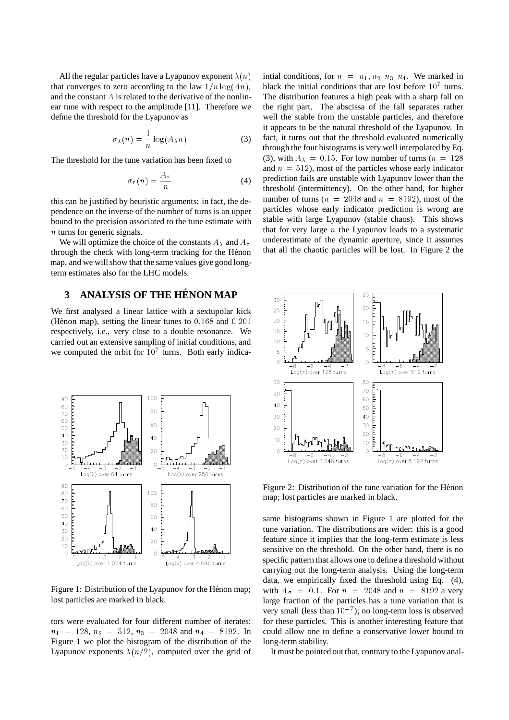All the regular particles have a Lyapunov exponent  $\lambda(n)$ that converges to zero according to the law  $1/n \log(A_n)$ , and the constant  $A$  is related to the derivative of the nonlinear tune with respect to the amplitude [11]. Therefore we define the threshold for the Lyapunov as

$$
\sigma_{\lambda}(n) = \frac{1}{n} \log(A_{\lambda} n). \tag{3}
$$

The threshold for the tune variation has been fixed to

$$
\sigma_{\tau}(n) = \frac{A_{\tau}}{n};\tag{4}
$$

this can be justified by heuristic arguments: in fact, the dependence on the inverse of the number of turns is an upper bound to the precision associated to the tune estimate with n turns for generic signals.

We will optimize the choice of the constants  $A_{\lambda}$  and  $A_{\tau}$ through the check with long-term tracking for the Hénon map, and we will show that the same values give good longterm estimates also for the LHC models.

# **3 ANALYSIS OF THE HENON MAP ´**

We first analysed a linear lattice with a sextupolar kick (Hénon map), setting the linear tunes to  $0.168$  and  $0.201$ respectively, i.e., very close to a double resonance. We carried out an extensive sampling of initial conditions, and we computed the orbit for  $10<sup>7</sup>$  turns. Both early indica-



Figure 1: Distribution of the Lyapunov for the Hénon map; lost particles are marked in black.

tors were evaluated for four different number of iterates:  $n_1 = 128$ ,  $n_2 = 512$ ,  $n_3 = 2048$  and  $n_4 = 8192$ . In Figure 1 we plot the histogram of the distribution of the Lyapunov exponents  $\lambda(n/2)$ , computed over the grid of

intial conditions, for  $n = n_1, n_2, n_3, n_4$ . We marked in black the initial conditions that are lost before  $10<sup>7</sup>$  turns. The distribution features a high peak with a sharp fall on the right part. The abscissa of the fall separates rather well the stable from the unstable particles, and therefore it appears to be the natural threshold of the Lyapunov. In fact, it turns out that the threshold evaluated numerically through the four histograms is very well interpolated by Eq. (3), with  $A_{\lambda} = 0.15$ . For low number of turns ( $n = 128$ ) and  $n = 512$ ), most of the particles whose early indicator prediction fails are unstable with Lyapunov lower than the threshold (intermittency). On the other hand, for higher number of turns ( $n = 2048$  and  $n = 8192$ ), most of the particles whose early indicator prediction is wrong are stable with large Lyapunov (stable chaos). This shows that for very large  $n$  the Lyapunov leads to a systematic underestimate of the dynamic aperture, since it assumes that all the chaotic particles will be lost. In Figure 2 the



Figure 2: Distribution of the tune variation for the Hénon map; lost particles are marked in black.

same histograms shown in Figure 1 are plotted for the tune variation. The distributions are wider: this is a good feature since it implies that the long-term estimate is less sensitive on the threshold. On the other hand, there is no specific pattern that allows one to define a threshold without carrying out the long-term analysis. Using the long-term data, we empirically fixed the threshold using Eq. (4), with  $A_{\sigma} = 0.1$ . For  $n = 2048$  and  $n = 8192$  a very large fraction of the particles has a tune variation that is very small (less than  $10^{-7}$ ); no long-term loss is observed for these particles. This is another interesting feature that could allow one to define a conservative lower bound to long-term stability.

It must be pointed out that, contrary to the Lyapunov anal-